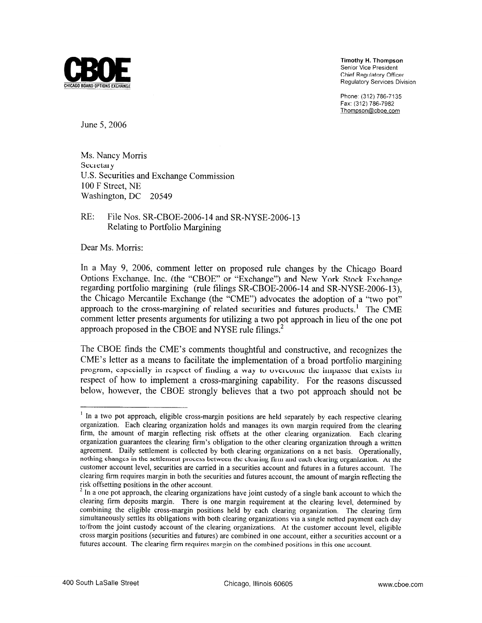

**Timothy** H. **Thompson**  Senior Vice President Chief Regulatory Officer Regulatory Services Division

Phone: (312) 786-7135 Fax: (312) 786-7982 Thompson@cboe.com

June 5,2006

Ms. Nancy Morris Secretary U.S. Securities and Exchange Commission 100 F Street, NE Washington, DC 20549

## RE: File Nos. SR-CBOE-2006-14 and SR-NYSE-2006-13 Relating to Portfolio Margining

Dear Ms. Morris:

In a May 9, 2006, comment letter on proposed rule changes by the Chicago Board Options Exchange, Inc. (the "CBOE" or "Exchange") and New York Stock Exchange regarding portfolio margining (rule filings SR-CBOE-2006-14 and SR-NYSE-2006-13), the Chicago Mercantile Exchange (the "CME") advocates the adoption of a "two pot" approach to the cross-margining of related securities and futures products.<sup>1</sup> The CME comment letter presents arguments for utilizing a two pot approach in lieu of the one pot approach proposed in the CBOE and NYSE rule filings.<sup>2</sup>

The CBOE finds the CME's comments thoughtful and constructive, and recognizes the CME's letter as a means to facilitate the implementation of a broad portfolio margining program, especially in respect of finding a way to overcome the impasse that exists in respect of how to implement a cross-margining capability. For the reasons discussed below, however, the CBOE strongly believes that a two pot approach should not be

<sup>&</sup>lt;sup>1</sup> In a two pot approach, eligible cross-margin positions are held separately by each respective clearing organization. Each clearing organization holds and manages its own margin required from the clearing firm, the amount of margin reflecting risk offsets at the other clearing organization. Each clearing organization guarantees the clearing firm's obligation to the other clearing organization through a written agreement. Daily settlement is collected by both clearing organizations on a net basis. Operationally, nothing changes in the settlement process between the clearing firm and each clearing organization. At the customer account level, securities are carried in a securities account and futures in a futures account. The clearing **firm** requires margin in both the securities and futures account, the amount of margin reflecting the isk offsetting positions in the other account.

n a one pot approach, the clearing organizations have joint custody of a single bank account to which the clearing **firm** deposits margin. There is one margin requirement at the clearing level, determined by combining the eligible cross-margin positions held by each clearing organization. The clearing firm simultaneously settles its obligations with both clearing organizations via a single netted payment each day to/from the joint custody account of the clearing organizations. At the customer account level, eligible cross margin positions (securities and futures) are combined in one account, either a securities account or a futures account. The clearing firm requires margin on the combined positions in this one account.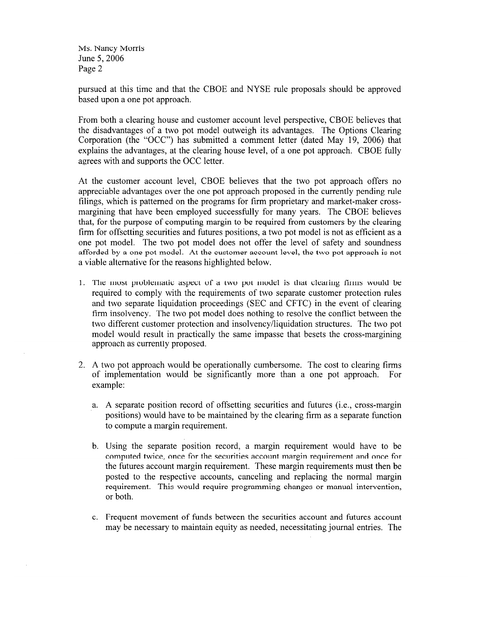Ms. Nancy Morris June 5,2006 Page 2

pursued at this time and that the CBOE and NYSE rule proposals should be approved based upon a one pot approach.

From both a clearing house and customer account level perspective, CBOE believes that the disadvantages of a two pot model outweigh its advantages. The Options Clearing Corporation (the "OCC") has submitted a comment letter (dated May 19, 2006) that explains the advantages, at the clearing house level, of a one pot approach. CBOE fully agrees with and supports the OCC letter.

At the customer account level, CBOE believes that the two pot approach offers no appreciable advantages over the one pot approach proposed in the currently pending rule filings, which is patterned on the programs for firm proprietary and market-maker crossmargining that have been employed successfilly for many years. The CBOE believes that, for the purpose of computing margin to be required from customers by the clearing firm for offsetting securities and futures positions, a two pot model is not as efficient as a one pot model. The two pot model does not offer the level of safety and soundness afforded by a one pot model. At the customer account level, the two pot approach is not a viable alternative for the reasons highlighted below.

- 1. The most problematic aspect of a two pot model is that clearing firms would be required to comply with the requirements of two separate customer protection rules and two separate liquidation proceedings (SEC and CFTC) in the event of clearing firm insolvency. The two pot model does nothing to resolve the conflict between the two different customer protection and insolvency/liquidation structures. The two pot model would result in practically the same impasse that besets the cross-margining approach as currently proposed.
- 2. A two pot approach would be operationally cumbersome. The cost to clearing firms of implementation would be significantly more than a one pot approach. For example:
	- a. A separate position record of offsetting securities and futures (i.e., cross-margin positions) would have to be maintained by the clearing firm as a separate function to compute a margin requirement.
	- b. Using the separate position record, a margin requirement would have to be computed twice, once for the securities account margin requirement and once for the futures account margin requirement. These margin requirements must then be posted to the respective accounts, canceling and replacing the normal margin requirement. This would require programming changes or manual intervention, or both.
	- c. Frequent movement of funds between the securities account and futures account may be necessary to maintain equity as needed, necessitating journal entries. The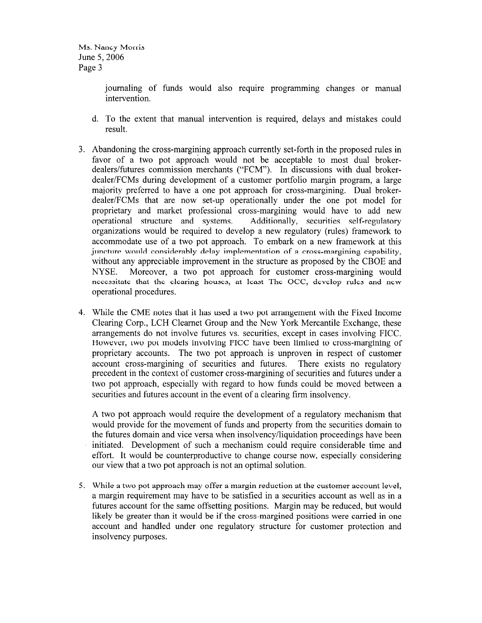journaling of funds would also require programming changes or manual intervention.

- d. To the extent that manual intervention is required, delays and mistakes could result.
- 3. Abandoning the cross-margining approach currently set-forth in the proposed rules in favor of a two pot approach would not be acceptable to most dual brokerdealers/futures commission merchants ("FCM"). In discussions with dual brokerdealer1FCMs during development of a customer portfolio margin program, a large majority preferred to have a one pot approach for cross-margining. Dual brokerdealer/FCMs that are now set-up operationally under the one pot model for proprietary and market professional cross-margining would have to add new operational structure and systems. Additionally, securities self-regulatory organizations would be required to develop a new regulatory (rules) framework to accommodate use of a two pot approach. To embark on a new framework at this juncture would considerably delay implementation of a cross-margining capability, without any appreciable improvement in the structure as proposed by the CBOE and NYSE. Moreover, a two pot approach for customer cross-margining would necessitate that thc clcaring houscs, at lcast Thc OCC, dcvclop mlcs and ncw operational procedures.
- 4. While the CME notes that it has used a two pot arrangement with the Fixed Income Clearing Corp., LCH Clearnet Group and the New York Mercantile Exchange, these arrangements do not involve futures vs. securities, except in cases involving FICC. However, two pot models involving FICC have been limited to cross-margining of proprietary accounts. The two pot approach is unproven in respect of customer account cross-margining of securities and futures. There exists no regulatory precedent in the context of customer cross-margining of securities and futures under a two pot approach, especially with regard to how funds could be moved between a securities and futures account in the event of a clearing firm insolvency.

A two pot approach would require the development of a regulatory mechanism that would provide for the movement of funds and property from the securities domain to the futures domain and vice versa when insolvency/liquidation proceedings have been initiated. Development of such a mechanism could require considerable time and effort. It would be counterproductive to change course now, especially considering our view that a two pot approach is not an optimal solution.

5. While a two pot approach may offer a margin reduction at the customer account level, a margin requirement may have to be satisfied in a securities account as well as in a futures account for the same offsetting positions. Margin may be reduced, but would likely be greater than it would be if the cross-margined positions were carried in one account and handled under one regulatory structure for customer protection and insolvency purposes.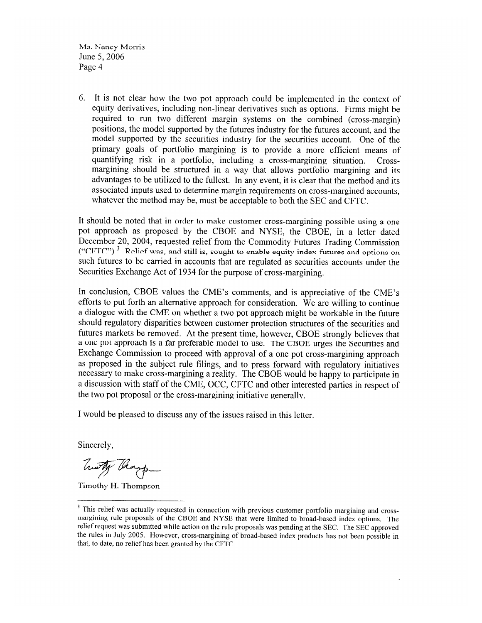Ms. Nancy Morris June 5,2006 Page 4

6. It is not clear how the two pot approach could be implemented in the context of equity derivatives, including non-linear derivatives such as options. Firms might be required to run two different margin systems on the combined (cross-margin) positions, the model supported by the futures industry for the futures account, and the model supported by the securities industry for the securities account. One of the primary goals of portfolio margining is to provide a more efficient means of quantifying risk in a portfolio, including a cross-margining situation. Crossmargining should be structured in a way that allows portfolio margining and its advantages to be utilized to the fullest. In any event, it is clear that the method and its associated inputs used to determine margin requirements on cross-margined accounts, whatever the method may be, must be acceptable to both the SEC and CFTC.

It should be noted that in order to make customer cross-margining possible using a one pot approach as proposed by the CBOE and NYSE, the CBOE, in a letter dated December 20, 2004, requested relief from the Commodity Futures Trading Commission ("CFTC").<sup>3</sup> Relief was, and still is, sought to enable equity index futures and options on such futures to be carried in accounts that are regulated as securities accounts under the Securities Exchange Act of 1934 for the purpose of cross-margining.

In conclusion, CBOE values the CME's comments, and is appreciative of the CME's efforts to put forth an alternative approach for consideration. We are willing to continue a dialogue with the CME on whether a two pot approach might be workable in the future should regulatory disparities between customer protection structures of the securities and futures markets be removed. At the present time, however, CBOE strongly believes that a one pot approach is a far preferable model to use. Ihe CBOE urges the Securities and Exchange Commission to proceed with approval of a one pot cross-margining approach as proposed in the subject rule filings, and to press forward with regulatory initiatives necessary to make cross-margining a reality. The CBOE would be happy to participate in a discussion with staff of the CME, OCC, CFTC and other interested parties in respect of the two pot proposal or the cross-margining initiative generally.

I would be pleased to discuss any of the issues raised in this letter.

Sincerely,

Twitty Though

Timothy H. Thompson

<sup>&</sup>lt;sup>3</sup> This relief was actually requested in connection with previous customer portfolio margining and crossmargining rule proposals of the CBOE and NYSE that were limited to broad-based index options. The relief request was submitted while action on the rule proposals was pending at the SEC. The SEC approved the rules in July 2005. However, cross-margining of broad-based index products has not been possible in that, to date, no relief has been granted by the CFTC.